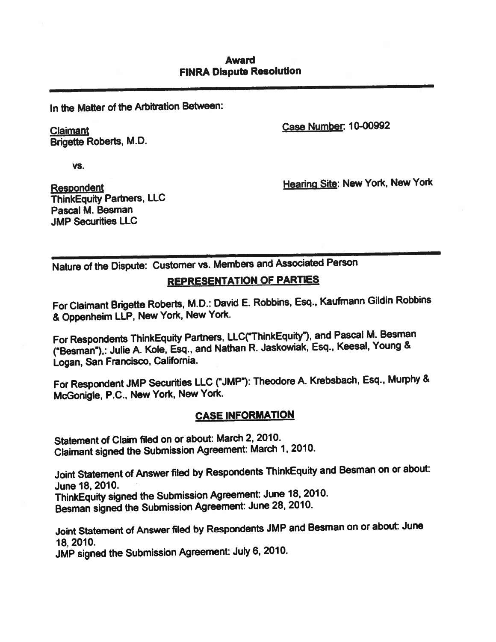#### Award FINRA Dispute Resolution

In the Matter of the Arbitration Between:

Brigette Roberts, M.D.

Claimant Case Number: 10-00992

vs.

ThinkEquity Partners, LLC Pascal M. Besman JMP Securities LLC

Respondent **Hearing Site: New York, New York** 

Nature of the Dispute: Customer vs. Members and Associated Person

#### REPRESENTATION OF PARTIES

For Claimant Brigette Roberts, M.D.: David E. Robbins, Esq., Kaufmann Gildin Robbins & Oppenheim LLP, New York, New York.

For Respondents ThinkEquity Partners, LLC("ThinkEquity"), and Pascal M. Besman ("Besman"),: Julie A. Kole, Esq., and Nathan R. Jaskowiak, Esq., Keesal, Young & Logan, San Francisco, California.

For Respondent JMP Securities LLC ("JMP"): Theodore A. Krebsbach, Esq., Murphy & McGoriigle, P.C., New York, New York.

#### CASE INFORMATION

Statement of Claim filed on or about: March 2, 2010. Claimant signed the Submission Agreement: March 1, 2010.

Joint Statement of Answer filed by Respondents ThinkEquity and Besman on or about: June 18, 2010.

ThinkEquity signed the Submission Agreement: June 18, 2010. Besman signed the Submission Agreement: June 28, 2010.

Joint Statement of Answer filed by Respondents JMP and Besman on or about: June 18, 2010.

JMP signed the Submission Agreement: July 6, 2010.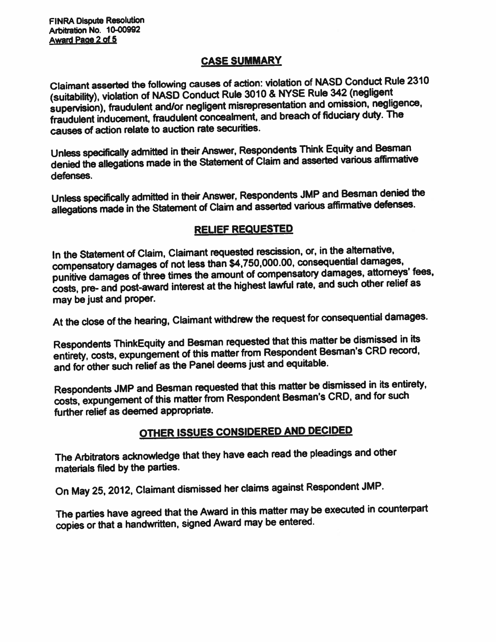### CASE SUMMARY

Claimant asserted the following causes of action: violation of NASD Conduct Rule <sup>2310</sup> (suitability), violation of NASD Conduct Rule <sup>3010</sup> & NYSE Rule <sup>342</sup> (negligent supervision), fraudulent and/or negligent misrepresentation and omission, negligence, fraudulent inducement, fraudulent concealment, and breach of fiduciary duty. The causes of action relate to auction rate securities.

Unless specifically admitted in their Answer, Respondents Think Equity and Besman denied the allegations made in the Statement of Claim and asserted various affirmative defenses.

Unless specifically admitted in their Answer, Respondents JMP and Besman denied the allegations made in the Statement of Claim and asserted various affirmative defenses.

## RELIEF REQUESTED

In the Statement of Claim, Claimant requested rescission, or, in the alternative, compensatory damages of not less than \$4,750,000.00, consequential damages, punitive damages of three times the amount of compensatory damages, attorneys' fees, costs, pre- and post-award interest at the highest lawful rate, and such other relief as may be just and proper.

At the close of the hearing, Claimant withdrew the reques<sup>t</sup> for consequential damages.

Respondents ThinkEquity and Besman requested that this matter be dismissed in its entirety, costs, expungemerit of this matter from Respondent Besman's CRD record, and for other such relief as the Panel deems just and equitable.

Respondents JMP and Besman requested that this matter be dismissed in its entirety, costs, expungemen<sup>t</sup> of this matter from Respondent Besman's CRD, and for such further relief as deemed appropriate.

# OTHER ISSUES CONSIDERED AND DECIDED

The Arbitrators acknowledge that they have each read the <sup>p</sup>leadings and other materials filed by the parties.

On May 25, 2012, Claimant dismissed her claims against Respondent JMP.

The parties have agree<sup>d</sup> that the Award in this matter may be executed in counterpart copies or that <sup>a</sup> handwritten, signed Award may be entered.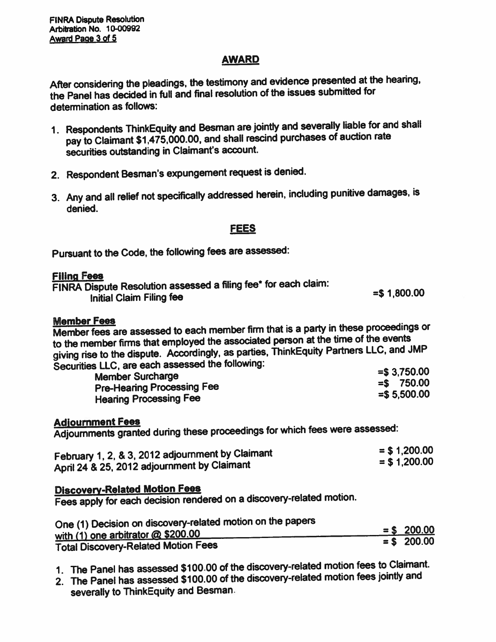## AWARD

After considering the <sup>p</sup>leadings, the testimony and evidence presented at the hearing, the Panel has decided in full and final resolution of the issues submitted for determination as follows:

- 1. Respondents ThinkEquity and Besman are jointly and severally liable for and shall pay to Claimant \$1,475,000.00, and shall rescind purchases of auction rate securities outstanding in Claimant's account.
- 2. Respondent Besman's expungemen<sup>t</sup> reques<sup>t</sup> is denied.
- 3. Any and all relief not specifically addressed herein, including punitive damages, is denied.

## FEES

Pursuant to the Code, the following fees are assessed:

#### Filing Fees

| FINRA Dispute Resolution assessed a filing fee* for each claim: |                |
|-----------------------------------------------------------------|----------------|
| Initial Claim Filing fee                                        | $=$ \$1,800.00 |

#### Member Fees

Member fees are assessed to each member firm that is <sup>a</sup> party in these proceedings or to the member firms that employed the associated person at the time of the events <sup>g</sup>iving rise to the dispute. Accordingly, as parties, ThinkEquity Partners LLC, and JMP Securities LLC, are each assessed the following:

| . ___.<br><b>Member Surcharge</b> | $=$ \$ 3,750.00 |
|-----------------------------------|-----------------|
| <b>Pre-Hearing Processing Fee</b> | $=$ \$750.00    |
| <b>Hearing Processing Fee</b>     | $=$ \$ 5,500.00 |
|                                   |                 |

#### Adjournment Fees

Adjoumments granted during these proceedings for which fees were assessed:

| February 1, 2, & 3, 2012 adjournment by Claimant | $=$ \$ 1,200.00 |
|--------------------------------------------------|-----------------|
| April 24 & 25, 2012 adjournment by Claimant      | $=$ \$ 1,200.00 |
|                                                  |                 |

## Discovery-Related Motion Fees

Fees apply for each decision rendered on <sup>a</sup> discovery-related motion.

| One (1) Decision on discovery-related motion on the papers |               |
|------------------------------------------------------------|---------------|
| with (1) one arbitrator @ \$200.00                         | $=$ \$ 200.00 |
|                                                            | $=$ \$ 200.00 |
| <b>Total Discovery-Related Motion Fees</b>                 |               |

- 1. The Panel has assessed \$100.00 of the discovery-related motion fees to Claimant.
- 2. The Panel has assessed \$100.00 of the discovery-related motion fees jointly and severally to ThinkEquity and Besman.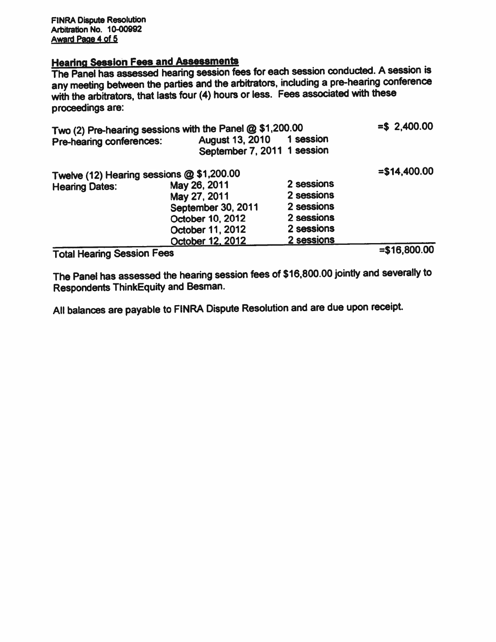#### Hearina Session Fees and Assessments

The Panel has assessed hearing session fees for each session conducted. A session is any meeting between the parties and the arbitrators, including <sup>a</sup> pre-heanng conference with the arbitrators, that lasts four (4) hours or less. Fees associated with these proceedings are:

| Two (2) Pre-hearing sessions with the Panel @ \$1,200.00 |                             |            | $= $2,400.00$   |
|----------------------------------------------------------|-----------------------------|------------|-----------------|
| Pre-hearing conferences:                                 | <b>August 13, 2010</b>      | 1 session  |                 |
|                                                          | September 7, 2011 1 session |            |                 |
| Twelve (12) Hearing sessions @ \$1,200.00                | $= $14,400.00$              |            |                 |
| <b>Hearing Dates:</b>                                    | May 26, 2011                | 2 sessions |                 |
|                                                          | May 27, 2011                | 2 sessions |                 |
|                                                          | September 30, 2011          | 2 sessions |                 |
|                                                          | October 10, 2012            | 2 sessions |                 |
|                                                          | October 11, 2012            | 2 sessions |                 |
|                                                          | October 12, 2012            | 2 sessions |                 |
| <b>SELLING CARAGE CARA</b>                               |                             |            | $=$ \$16.800.00 |

Total Hearing Session Fees =\$16,800.00

The Panel has assessed the hearing session fees of \$16,800.00 jointly and severally to Respondents ThinkEquity and Besman.

All balances are payable to FINRA Dispute Resolution and are due upon receipt.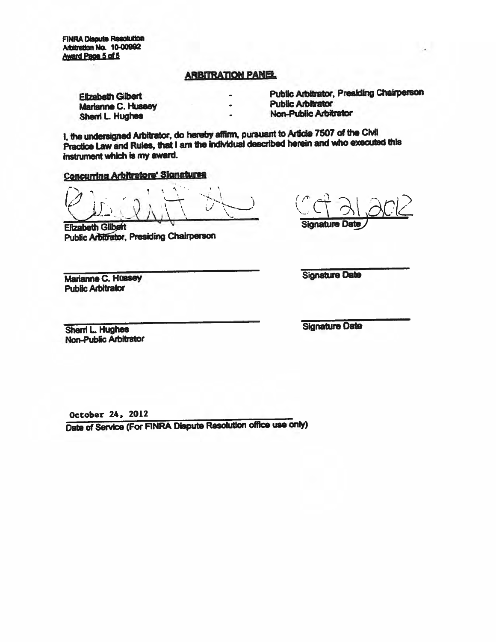**FINRA Dispute Resolution** Arbitration No. 10-00992 Award Page 5 of 5

#### **ARBITRATION PANEL**

**Filzabath Gilbert** Marianne C. Hussey Shemi L. Hughes

**Public Arbitrator, Presiding Chairperson Public Arbitrator** 

**Non-Public Arbitrator** 

I, the undersigned Arbitrator, do hereby affirm, pursuant to Article 7507 of the Civil Practice Law and Rules, that I am the individual described herein and who executed this instrument which is my award.

**Concurring Arbitrators' Signatures** 

**Elizabeth Gilbert Public Arbitrator, Presiding Chairperson** 

**Signature Date** 

**Signature Date** 

Marianne C. Hussey **Public Arbitrator** 

Sherri L. Hughes Non-Public Arbitrator **Signature Date** 

October 24, 2012

Date of Service (For FINRA Dispute Resolution office use only)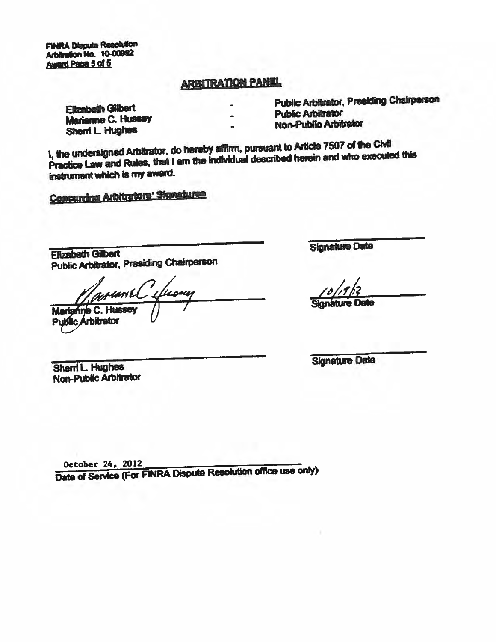**FINRA Dispute Resolution** Arbitration No. 10-00992 Award Page 5 of 5

# **ARBITRATION PANEL**

**Elizabeth Gilbert** Marianne C. Hussey Sherri L. Hughes

**Public Arbitrator, Presiding Chairperson Public Arbitrator** 

Non-Public Arbitrator

1, the undersigned Arbitrator, do hereby affirm, pursuant to Article 7507 of the Civil Practice Law and Rules, that I am the individual described herein and who executed this instrument which is my award.

Concurring Arbitrators' Stanatures

**Elizabeth Gilbert Public Arbitrator, Presiding Chairperson** 

unel **Mariani** 

**Public Arbitrator** 

Sharri L. Hughes Non-Public Arbitrator **Signature Date** 

Sionature Date

**Signature Date** 

October 24, 2012

Date of Service (For FINRA Dispute Resolution office use only)